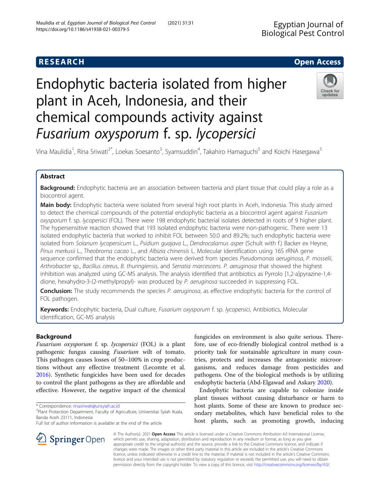# **RESEARCH CHE Open Access**

# Endophytic bacteria isolated from higher plant in Aceh, Indonesia, and their chemical compounds activity against Fusarium oxysporum f. sp. lycopersici



Vina Maulidia<sup>1</sup>, Rina Sriwati<sup>2\*</sup>, Loekas Soesanto<sup>3</sup>, Syamsuddin<sup>4</sup>, Takahiro Hamaguchi<sup>5</sup> and Koichi Hasegawa<sup>5</sup>

# Abstract

Background: Endophytic bacteria are an association between bacteria and plant tissue that could play a role as a biocontrol agent.

Main body: Endophytic bacteria were isolated from several high root plants in Aceh, Indonesia. This study aimed to detect the chemical compounds of the potential endophytic bacteria as a biocontrol agent against Fusarium oxysporum f. sp. lycopersici (FOL). There were 198 endophytic bacterial isolates detected in roots of 9 higher plant. The hypersensitive reaction showed that 193 isolated endophytic bacteria were non-pathogenic. There were 13 isolated endophytic bacteria that worked to inhibit FOL between 50.0 and 89.2%; such endophytic bacteria were isolated from Solanum lycopersicum L., Psidium guajava L., Dendrocalamus asper (Schult with f.) Backer ex Heyne, Pinus merkusii L., Theobroma cacao L., and Albizia chinensis L. Molecular identification using 16S rRNA gene sequence confirmed that the endophytic bacteria were derived from species Pseudomonas aeruginosa, P. mosselii, Arthrobacter sp., Bacillus cereus, B. thuringiensis, and Serratia marcescens. P. aeruginosa that showed the highest inhibition was analyzed using GC-MS analysis. The analysis identified that antibiotics as Pyrrolo [1,2-a]pyrazine-1,4 dione, hexahydro-3-(2-methylpropyl)- was produced by P. aeruginosa succeeded in suppressing FOL.

Conclusion: The study recommends the species P. aeruginosa, as effective endophytic bacteria for the control of FOL pathogen.

Keywords: Endophytic bacteria, Dual culture, Fusarium oxysporum f. sp. lycopersici, Antibiotics, Molecular identification, GC-MS analysis

# Background

Fusarium oxysporum f. sp. lycopersici (FOL) is a plant pathogenic fungus causing Fusarium wilt of tomato. This pathogen causes losses of 50–100% in crop productions without any effective treatment (Lecomte et al. [2016](#page-6-0)). Synthetic fungicides have been used for decades to control the plant pathogens as they are affordable and effective. However, the negative impact of the chemical

\* Correspondence: [rinasriwati@unsyiah.ac.id](mailto:rinasriwati@unsyiah.ac.id) <sup>2</sup>

SpringerOpen

Full list of author information is available at the end of the article

fungicides on environment is also quite serious. Therefore, use of eco-friendly biological control method is a priority task for sustainable agriculture in many countries, protects and increases the antagonistic microorganisms, and reduces damage from pesticides and pathogens. One of the biological methods is by utilizing endophytic bacteria (Abd-Elgawad and Askary [2020](#page-5-0)).

Endophytic bacteria are capable to colonize inside plant tissues without causing disturbance or harm to host plants. Some of these are known to produce secondary metabolites, which have beneficial roles to the host plants, such as promoting growth, inducing

© The Author(s). 2021 Open Access This article is licensed under a Creative Commons Attribution 4.0 International License, which permits use, sharing, adaptation, distribution and reproduction in any medium or format, as long as you give appropriate credit to the original author(s) and the source, provide a link to the Creative Commons licence, and indicate if changes were made. The images or other third party material in this article are included in the article's Creative Commons licence, unless indicated otherwise in a credit line to the material. If material is not included in the article's Creative Commons licence and your intended use is not permitted by statutory regulation or exceeds the permitted use, you will need to obtain permission directly from the copyright holder. To view a copy of this licence, visit <http://creativecommons.org/licenses/by/4.0/>.

<sup>&</sup>lt;sup>2</sup>Plant Protection Department, Faculty of Agriculture, Universitas Syiah Kuala, Banda Aceh 23111, Indonesia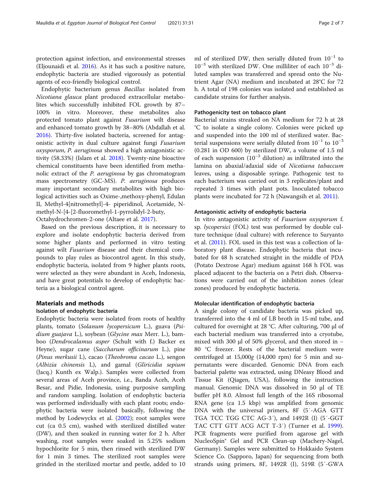protection against infection, and environmental stresses (Eljounaidi et al. [2016\)](#page-6-0). As it has such a positive nature, endophytic bacteria are studied vigorously as potential agents of eco-friendly biological control.

Endophytic bacterium genus Bacillus isolated from Nicotiana glauca plant produced extracellular metabolites which successfully inhibited FOL growth by 87– 100% in vitro. Moreover, these metabolites also protected tomato plant against Fusarium wilt disease and enhanced tomato growth by 38–80% (Abdallah et al. [2016](#page-5-0)). Thirty-five isolated bacteria, screened for antagonistic activity in dual culture against fungi Fusarium oxysporum, P. aeruginosa showed a high antagonistic activity (58.33%) (Islam et al. [2018](#page-6-0)). Twenty-nine bioactive chemical constituents have been identified from methanolic extract of the P. aeruginosa by gas chromatogram mass spectrometry (GC-MS). P. aeruginosa produces many important secondary metabolites with high biological activities such as Oxime-,methoxy-phenyl, Edulan II, Methyl-4[nitromethyl]-4- piperidinol, Acetamide, Nmethyl-N-[4-[2-fluoromethyl-1-pyrrolidyl-2-buty, Octahydrochromen-2-one (Altaee et al. [2017\)](#page-5-0).

Based on the previous description, it is necessary to explore and isolate endophytic bacteria derived from some higher plants and performed in vitro testing against wilt Fusarium disease and their chemical compounds to play rules as biocontrol agent. In this study, endophytic bacteria, isolated from 9 higher plants roots, were selected as they were abundant in Aceh, Indonesia, and have great potentials to develop of endophytic bacteria as a biological control agent.

#### Materials and methods

#### Isolation of endophytic bacteria

Endophytic bacteria were isolated from roots of healthy plants, tomato (Solanum lycopersicum L.), guava (Psidium guajava L.), soybean (Glycine max Merr. L.), bamboo (Dendrocalamus asper (Schult with f.) Backer ex Heyne), sugar cane (Saccharum officinarum L.), pine (Pinus merkusii L), cacao (Theobroma cacao L.), sengon (Albizia chinensis L), and gamal (Gliricidia sepium (Jacq.) Kunth ex Walp.). Samples were collected from several areas of Aceh province, i.e., Banda Aceh, Aceh Besar, and Pidie, Indonesia, using purposive sampling and random sampling. Isolation of endophytic bacteria was performed individually with each plant roots; endophytic bacteria were isolated basically, following the method by Lodewyckx et al. [\(2002\)](#page-6-0); root samples were cut (ca 0.5 cm), washed with sterilized distilled water (DW), and then soaked in running water for 2 h. After washing, root samples were soaked in 5.25% sodium hypochlorite for 5 min, then rinsed with sterilized DW for 1 min 3 times. The sterilized root samples were grinded in the sterilized mortar and pestle, added to 10

ml of sterilized DW, then serially diluted from  $10^{-1}$  to 10−<sup>3</sup> with sterilized DW. One milliliter of each 10−<sup>3</sup> diluted samples was transferred and spread onto the Nutrient Agar (NA) medium and incubated at 28°C for 72 h. A total of 198 colonies was isolated and established as candidate strains for further analysis.

#### Pathogenicity test on tobacco plant

Bacterial strains streaked on NA medium for 72 h at 28 °C to isolate a single colony. Colonies were picked up and suspended into the 100 ml of sterilized water. Bacterial suspensions were serially diluted from  $10^{-1}$  to  $10^{-3}$ (0.281 in OD 600) by sterilized DW, a volume of 1.5 ml of each suspension  $(10^{-3}$  dilution) as infiltrated into the lamina on abaxial/adaxial side of Nicotiana tabaccum leaves, using a disposable syringe. Pathogenic test to each bacterium was carried out in 3 replicates/plant and repeated 3 times with plant pots. Inoculated tobacco plants were incubated for 72 h (Nawangsih et al. [2011](#page-6-0)).

#### Antagonistic activity of endophytic bacteria

In vitro antagonistic activity of Fusarium oxysporum f. sp. lycopersici (FOL) test was performed by double culture technique (dual culture) with reference to Suryanto et al. ([2011](#page-6-0)). FOL used in this test was a collection of laboratory plant disease. Endophytic bacteria that incubated for 48 h scratched straight in the middle of PDA (Potato Dextrose Agar) medium against 168 h FOL was placed adjacent to the bacteria on a Petri dish. Observations were carried out of the inhibition zones (clear zones) produced by endophytic bacteria.

#### Molecular identification of endophytic bacteria

A single colony of candidate bacteria was picked up, transferred into the 4 ml of LB broth in 15-ml tube, and cultured for overnight at 28 °C. After culturing, 700 μl of each bacterial medium was transferred into a cryotube, mixed with 300 μl of 50% glycerol, and then stored in − 80 °C freezer. Rests of the bacterial medium were centrifuged at 15,000g (14,000 rpm) for 5 min and supernatants were discarded. Genomic DNA from each bacterial palette was extracted, using DNeasy Blood and Tissue Kit (Qiagen, USA), following the instruction manual. Genomic DNA was dissolved in 50 μl of TE buffer pH 8.0. Almost full length of the 16S ribosomal RNA gene (ca 1.5 kbp) was amplified from genomic DNA with the universal primers, 8F (5′-AGA GTT TGA TCC TGG CTC AG-3′), and 1492R (I) (5′-GGT TAC CTT GTT ACG ACT T-3′) (Turner et al. [1999](#page-6-0)). PCR fragments were purified from agarose gel with NucleoSpin® Gel and PCR Clean-up (Machery-Nagel, Germany). Samples were submitted to Hokkaido System Science Co. (Sapporo, Japan) for sequencing from both strands using primers, 8F, 1492R (I), 519R (5′-GWA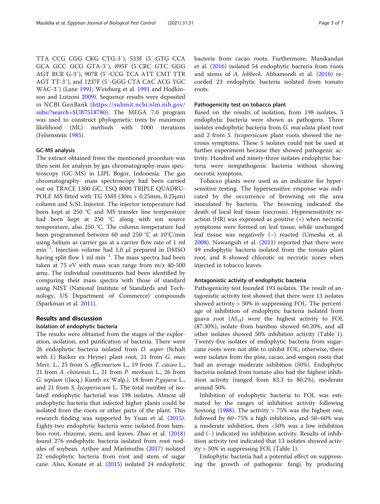TTA CCG CGG CKG CTG-3′), 533F (5′-GTG CCA GCA GCC GCG GTA-3′), 895F (5′CRC GTC GGG AGT RCR G-3′), 907R (5′-CCG TCA ATT CMT TTR AGT TT-3′), and 1237F (5′-GGG CTA CAC ACG YGC WAC-3′) (Lane [1991](#page-6-0); Weisburg et al. [1991](#page-6-0) and Hodkinson and Lutzoni [2009\)](#page-6-0). Sequence results were deposited in NCBI GenBank ([https://submit.ncbi.nlm.nih.gov/](https://submit.ncbi.nlm.nih.gov/subs/?search=SUB7518780) [subs/?search=SUB7518780](https://submit.ncbi.nlm.nih.gov/subs/?search=SUB7518780)). The MEGA 7.0 program was used to construct phylogenetic trees by maximum likelihood (ML) methods with 1000 iterations (Felsenstein [1985](#page-6-0)).

#### GC-MS analysis

The extract obtained from the mentioned procedure was then sent for analysis by gas chromatography-mass spectroscopy (GC-MS) in LIPI, Bogor, Indonesia. The gas chromatography- mass spectroscopy had been carried out on TRACE 1300 GC, TSQ 8000 TRIPLE QUADRU-POLE MS fitted with TG 5MS (30m  $\times$  0.25mm, 0.25 $\mu$ m) column and S/SL Injector. The injector temperature had been kept at 250 °C and MS transfer line temperature had been kept at 250 °C along with ion source temperature, also 250 °C. The column temperature had been programmed between 60 and 250 °C at 10°C/min using helium as carrier gas at a carrier flow rate of 1 ml min−<sup>1</sup> . Injection volume had 1.0 μl prepared in DMSO having split flow 1 ml min−<sup>1</sup> . The mass spectra had been taken at 75 eV with mass scan range from m/z 40-500 amu. The individual constituents had been identified by comparing their mass spectra with those of standard using NIST (National Institute of Standards and Technology, US Department of Commerce) compounds (Sparkman et al. [2011](#page-6-0)).

#### Results and discussion

#### Isolation of endophytic bacteria

The results were obtained from the stages of the exploration, isolation, and purification of bacteria. There were 26 endophytic bacteria isolated from D. asper (Schult with f.) Backer ex Heyne) plant root, 21 from G. max Merr. L., 25 from S. officinarum L., 19 from T. cacao L., 21 from A. chinensis L., 21 from P. merkusii L., 26 from G. sepium ((Jacq.) Kunth ex Walp.), 18 from P.gajava L., and 21 from S. lycopersicum L. The total number of isolated endophytic bacterial was 198 isolates. Almost all endophytic bacteria that infected higher plants could be isolated from the roots or other parts of the plant. This research finding was supported by Yuan et al. ([2015](#page-6-0)). Eighty-two endophytic bacteria were isolated from bamboo root, rhizome, stem, and leaves. Zhao et al. ([2018](#page-6-0)) found 276 endophytic bacteria isolated from root nodules of soybean. Arthee and Marimuthu ([2017](#page-5-0)) isolated 22 endophytic bacteria from root and stem of sugar cane. Also, Konate et al. ([2015](#page-6-0)) isolated 24 endophytic

bacteria from cacao roots. Furthermore, Manikandan et al. ([2016](#page-6-0)) isolated 54 endophytic bacteria from roots and stems of A. lebbeck. Abbamondi et al. [\(2016\)](#page-5-0) recorded 23 endophytic bacteria isolated from tomato roots.

#### Pathogenicity test on tobacco plant

Based on the results of isolation, from 198 isolates, 5 endophytic bacteria were shown as pathogens. Three isolates endophytic bacteria from G. maculata plant root and 2 from S. lycopersicum plant roots showed the necrosis symptoms. These 5 isolates could not be used at further experiment because they showed pathogenic activity. Hundred and ninety-three isolates endophytic bacteria were nonpathogenic bacteria without showing necrotic symptom.

Tobacco plants were used as an indicator for hypersensitive testing. The hypersensitive response was indicated by the occurrence of browning on the area inoculated by bacteria. The browning indicated the death of local leaf tissue (necrosis). Hypersensitivity reaction (HR) was expressed as positive (+) when necrotic symptoms were formed on leaf tissue, while unchanged leaf tissue was negatively (−) reacted (Umesha et al. [2008](#page-6-0)). Nawangsih et al. [\(2011](#page-6-0)) reported that there were 49 endophytic bacteria isolated from the tomato plant root, and 8 showed chlorotic or necrotic zones when injected in tobacco leaves.

#### Antagonistic activity of endophytic bacteria

Pathogenicity test founded 193 isolates. The result of antagonistic activity test showed that there were 13 isolates showed activity > 50% in suppressing FOL. The percentage of inhibition of endophytic bacteria isolated from guava root  $(AJ_{14})$  were the highest activity to FOL (87.30%), isolate from bamboo showed 60.20%, and all other isolates showed 50% inhibition activity (Table [1](#page-3-0)). Twenty-five isolates of endophytic bacteria from sugarcane roots were not able to inhibit FOL; otherwise, there were isolates from the pine, cacao, and sengon roots that had an average moderate inhibition (50%). Endophytic bacteria isolated from tomato also had the highest inhibition activity (ranged from 83.3 to 80.2%), moderate around 50%.

Inhibition of endophytic bacteria to FOL was estimated by the ranges of inhibition activity following Soytong  $(1988)$ . The activity  $> 75\%$  was the highest one, followed by 60–75% a high inhibition, and 50–60% was a moderate inhibition, then <50% was a low inhibition and (−) indicated no inhibition activity. Results of inhibition activity test indicated that 13 isolates showed activity > 50% in suppressing FOL (Table [1\)](#page-3-0).

Endophytic bacteria had a potential effect on suppressing the growth of pathogenic fungi by producing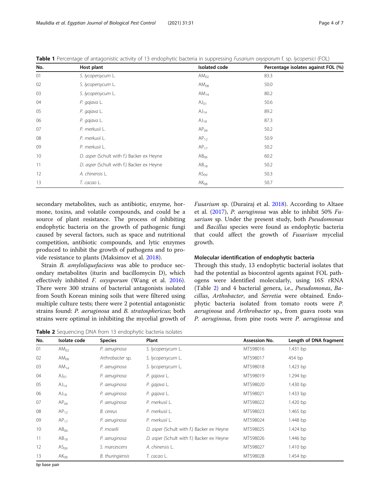| No. | Host plant                                | Isolated code    | Percentage isolates against FOL (%) |
|-----|-------------------------------------------|------------------|-------------------------------------|
| 01  | S. lycopersycum L.                        | AM <sub>02</sub> | 83.3                                |
| 02  | S. lycopersycum L.                        | $AM_{08}$        | 50.0                                |
| 03  | S. lycopersycum L.                        | AM <sub>14</sub> | 80.2                                |
| 04  | P. gajava L.                              | $AJ_{01}$        | 50.6                                |
| 05  | P. gajava L.                              | $AJ_{14}$        | 89.2                                |
| 06  | P. gajava L.                              | $AJ_{18}$        | 87.3                                |
| 07  | P. merkusii L.                            | AP <sub>04</sub> | 50.2                                |
| 08  | P. merkusii L.                            | $AP_{12}$        | 50.9                                |
| 09  | P. merkusii L.                            | $AP_{17}$        | 50.2                                |
| 10  | D. asper (Schult with f.) Backer ex Heyne | AB <sub>06</sub> | 60.2                                |
| 11  | D. asper (Schult with f.) Backer ex Heyne | $AB_{18}$        | 50.2                                |
| 12  | A. chinensis L.                           | AS <sub>09</sub> | 50.3                                |
| 13  | T. cacao L.                               | $AK_{08}$        | 50.7                                |

<span id="page-3-0"></span>Table 1 Percentage of antagonistic activity of 13 endophytic bacteria in suppressing Fusarium oxysporum f. sp. lycopersici (FOL)

secondary metabolites, such as antibiotic, enzyme, hormone, toxins, and volatile compounds, and could be a source of plant resistance. The process of inhibiting endophytic bacteria on the growth of pathogenic fungi caused by several factors, such as space and nutritional competition, antibiotic compounds, and lytic enzymes produced to inhibit the growth of pathogens and to provide resistance to plants (Maksimov et al. [2018\)](#page-6-0).

Strain B. amyloliquefaciens was able to produce secondary metabolites (iturin and bacillomycin D), which effectively inhibited *F. oxysporum* (Wang et al. [2016](#page-6-0)). There were 300 strains of bacterial antagonists isolated from South Korean mining soils that were filtered using multiple culture tests; there were 2 potential antagonistic strains found: P. aeruginosa and B. stratosphericus; both strains were optimal in inhibiting the mycelial growth of Fusarium sp. (Durairaj et al. [2018\)](#page-6-0). According to Altaee et al. ([2017](#page-5-0)), P. aeruginosa was able to inhibit 50% Fusarium sp. Under the present study, both Pseudomonas and Bacillus species were found as endophytic bacteria that could affect the growth of Fusarium mycelial growth.

#### Molecular identification of endophytic bacteria

Through this study, 13 endophytic bacterial isolates that had the potential as biocontrol agents against FOL pathogens were identified molecularly, using 16S rRNA (Table 2) and 4 bacterial genera, i.e., Pseudomonas, Bacillus, Arthobacter, and Serretia were obtained. Endophytic bacteria isolated from tomato roots were P. aeruginosa and Arthrobacter sp., from guava roots was P. aeruginosa, from pine roots were P. aeruginosa and

**Table 2** Sequencing DNA from 13 endophytic bacteria isolates

| No. | Isolate code     | <b>Species</b>   | Plant                                     | Assession No. | Length of DNA fragment |
|-----|------------------|------------------|-------------------------------------------|---------------|------------------------|
| 01  | AM <sub>02</sub> | P. aeruginosa    | S. lycopersycum L.                        | MT598016      | 1.431 bp               |
| 02  | $AM_{08}$        | Arthrobacter sp. | S. lycopersycum L.                        | MT598017      | 454 bp                 |
| 03  | $AM_{14}$        | P. aeruginosa    | S. lycopersycum L.                        | MT598018      | $1.423$ bp             |
| 04  | $AJ_{01}$        | P. aeruginosa    | P. gajava L.                              | MT598019      | 1.294 bp               |
| 05  | $AJ_{14}$        | P. aeruginosa    | P. gajava L.                              | MT598020      | $1.430$ bp             |
| 06  | $AJ_{18}$        | P. aeruginosa    | P. gajava L.                              | MT598021      | $1.433$ bp             |
| 07  | AP <sub>04</sub> | P. aeruginosa    | P. merkusii L.                            | MT598022      | 1.420 bp               |
| 08  | $AP_{12}$        | B. cereus        | P. merkusii L.                            | MT598023      | $1.465$ bp             |
| 09  | $AP_{17}$        | P. aeruginosa    | P. merkusii L.                            | MT598024      | 1.448 bp               |
| 10  | AB <sub>06</sub> | P. moselii       | D. asper (Schult with f.) Backer ex Heyne | MT598025      | 1.424 bp               |
| 11  | $AB_{18}$        | P. aeruginosa    | D. asper (Schult with f.) Backer ex Heyne | MT598026      | 1.446 bp               |
| 12  | AS <sub>09</sub> | S. marcescens    | A. chinensis L.                           | MT598027      | $1.410$ bp             |
| 13  | $AK_{08}$        | B. thuringiensis | T. cacao L.                               | MT598028      | 1.454 bp               |

bp base pair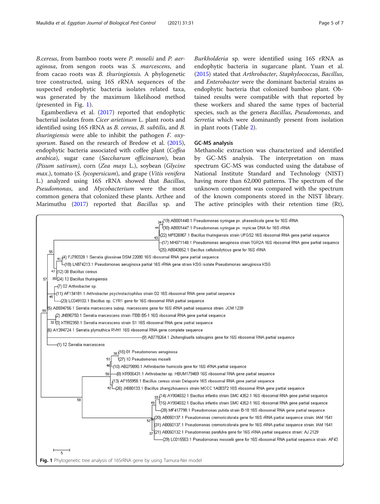B.cereus, from bamboo roots were P. moselii and P. aeruginosa, from sengon roots was S. marcescens, and from cacao roots was B. thuringiensis. A phylogenetic tree constructed, using 16S rRNA sequences of the suspected endophytic bacteria isolates related taxa, was generated by the maximum likelihood method (presented in Fig. 1).

Egamberdieva et al. ([2017](#page-6-0)) reported that endophytic bacterial isolates from Cicer arietinum L. plant roots and identified using 16S rRNA as B. cereus, B. subtilis, and B. *thuringiensis* were able to inhibit the pathogen  $F$ .  $\alpha xy$ -sporum. Based on the research of Bredow et al. ([2015](#page-6-0)), endophytic bacteria associated with coffee plant (Coffea arabica), sugar cane (Saccharum officinarum), bean (Pisum sativum), corn (Zea mays L.), soybean (Glycine max.), tomato (S. lycopersicum), and grape (Vitis venifera L.) analyzed using 16S rRNA showed that Bacillus, Pseudomonas, and Mycobacterium were the most common genera that colonized these plants. Arthee and Marimuthu [\(2017](#page-5-0)) reported that Bacillus sp. and Burkholderia sp. were identified using 16S rRNA as endophytic bacteria in sugarcane plant. Yuan et al. ([2015\)](#page-6-0) stated that Arthrobacter, Staphylococcus, Bacillus, and Enterobacter were the dominant bacterial strains as endophytic bacteria that colonized bamboo plant. Obtained results were compatible with that reported by these workers and shared the same types of bacterial species, such as the genera *Bacillus*, *Pseudomonas*, and Serretia which were dominantly present from isolation in plant roots (Table [2](#page-3-0)).

#### GC-MS analysis

Methanolic extraction was characterized and identified by GC-MS analysis. The interpretation on mass spectrum GC-MS was conducted using the database of National Institute Standard and Technology (NIST) having more than 62,000 patterns. The spectrum of the unknown component was compared with the spectrum of the known components stored in the NIST library. The active principles with their retention time (Rt),

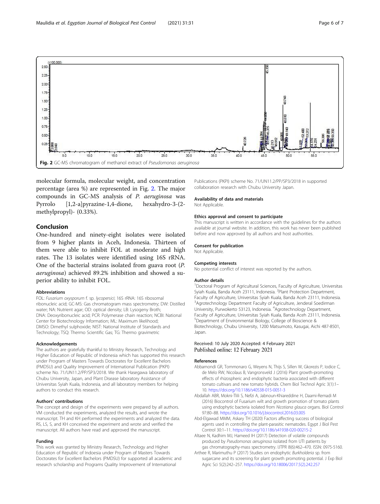<span id="page-5-0"></span>

molecular formula, molecular weight, and concentration percentage (area %) are represented in Fig. 2. The major compounds in GC-MS analysis of P. aeruginosa was Pyrrolo [1,2-a]pyrazine-1,4-dione, hexahydro-3-(2 methylpropyl)- (0.33%).

### Conclusion

One-hundred and ninety-eight isolates were isolated from 9 higher plants in Aceh, Indonesia. Thirteen of them were able to inhibit FOL at moderate and high rates. The 13 isolates were identified using 16S rRNA. One of the bacterial strains isolated from guava root (P. aeruginosa) achieved 89.2% inhibition and showed a superior ability to inhibit FOL.

#### Abbreviations

FOL: Fusarium oxysporum f. sp. lycopersici; 16S rRNA: 16S ribosomal ribonucleic acid; GC-MS: Gas chromatogram mass spectrometry; DW: Distilled water; NA: Nutrient agar; OD: optical density; LB: Lysogeny Broth; DNA: Deoxyribonucleic acid; PCR: Polymerase chain reaction; NCBI: National Center for Biotechnology Information; ML: Maximum likelihood; DMSO: Dimethyl sulphoxide; NIST: National Institute of Standards and Technology; TSQ: Thermo Scientific Gas; TG: Thermo gravimetric

#### Acknowledgements

The authors are gratefully thankful to Ministry Research, Technology and Higher Education of Republic of Indonesia which has supported this research under Program of Masters Towards Doctorates for Excellent Bachelors (PMDSU) and Quality Improvement of International Publication (PKPI) scheme No. 71/UN11.2/PP/SP3/2018. We thank Hasegawa laboratory of Chubu University, Japan, and Plant Disease laboratory Assistance of Universitas Syiah Kuala, Indonesia, and all laboratory members for helping authors to conduct this research.

#### Authors' contributions

The concept and design of the experiments were prepared by all authors. VM conducted the experiments, analyzed the results, and wrote the manuscript. TH and KH performed the experiments and analyzed the data. RS, LS, S, and KH conceived the experiment and wrote and verified the manuscript. All authors have read and approved the manuscript.

#### Funding

This work was granted by Ministry Research, Technology and Higher Education of Republic of Indoesia under Program of Masters Towards Doctorates for Excellent Bachelors (PMDSU) for supported all academic and research scholarship and Programs Quality Improvement of International

Publications (PKPI) scheme No. 71/UN11.2/PP/SP3/2018 in supported collaboration research with Chubu University Japan.

#### Availability of data and materials

Not Applicable

#### Ethics approval and consent to participate

This manuscript is written in accordance with the guidelines for the authors available at journal website. In addition, this work has never been published before and now approved by all authors and host authorities.

#### Consent for publication

Not Applicable.

#### Competing interests

No potential conflict of interest was reported by the authors.

#### Author details

<sup>1</sup>Doctoral Program of Agricultural Sciences, Faculty of Agriculture, Universitas Syiah Kuala, Banda Aceh 23111, Indonesia. <sup>2</sup>Plant Protection Department Faculty of Agriculture, Universitas Syiah Kuala, Banda Aceh 23111, Indonesia. <sup>3</sup> Agrotechnology Department Faculty of Agriculture, Jenderal Soedirman University, Purwokerto 53123, Indonesia. <sup>4</sup>Agrotechnology Department Faculty of Agriculture, Universitas Syiah Kuala, Banda Aceh 23111, Indonesia. 5 Department of Environmental Biology, College of Bioscience & Biotechnology, Chubu University, 1200 Matsumoto, Kasugai, Aichi 487-8501, Japan.

#### Received: 10 July 2020 Accepted: 4 February 2021 Published online: 12 February 2021

#### References

- Abbamondi GR, Tommonaro G, Weyens N, Thijs S, Sillen W, Gkorezis P, Iodice C, de Melo RW, Nicolaus B, Vangronsveld J (2016) Plant growth-promoting effects of rhizospheric and endophytic bacteria associated with different tomato cultivars and new tomato hybrids. Chem Biol Technol Agric 3(1):1– 10. <https://doi.org/10.1186/s40538-015-0051-3>
- Abdallah ABR, Mokni-Tlili S, Nefzi A, Jabnoun-Khiareddine H, Daami-Remadi M (2016) Biocontrol of Fusarium wilt and growth promotion of tomato plants using endophytic bacteria isolated from Nicotiana glauca organs. Biol Control 97:80–88. <https://doi.org/10.1016/j.biocontrol.2016.03.005>
- Abd-Elgawad MMM, Askary TH (2020) Factors affecting success of biological agents used in controlling the plant-parasitic nematodes. Egypt J Biol Pest Control 30:1–11. <https://doi.org/10.1186/s41938-020-00215-2>
- Altaee N, Kadhim MJ, Hameed IH (2017) Detection of volatile compounds produced by Pseudomonas aeruginosa isolated from UTI patients by gas chromatography-mass spectrometry. IJTPR 8(6):462–470. ISSN: 0975-5160.
- Arthee R, Marimuthu P (2017) Studies on endophytic Burkholderia sp. from sugarcane and its screening for plant growth promoting potential. J Exp Biol Agric Sci 5(2):242–257. [https://doi.org/10.18006/2017.5\(2\).242.257](https://doi.org/10.18006/2017.5(2).242.257)